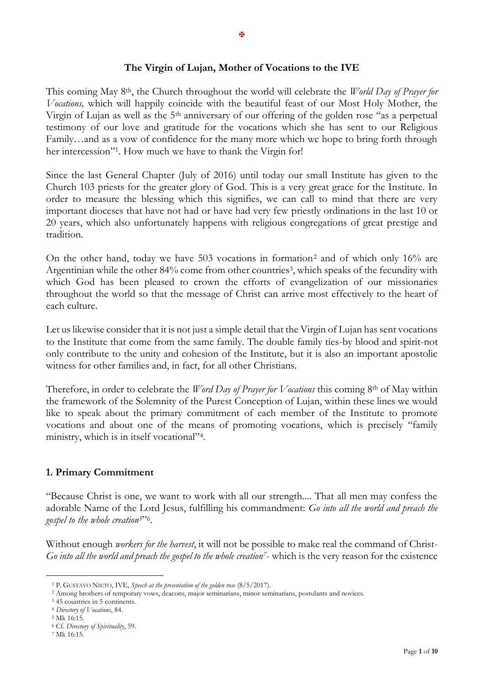## **The Virgin of Lujan, Mother of Vocations to the IVE**

This coming May 8th, the Church throughout the world will celebrate the *World Day of Prayer for Vocations,* which will happily coincide with the beautiful feast of our Most Holy Mother, the Virgin of Lujan as well as the 5th anniversary of our offering of the golden rose "as a perpetual testimony of our love and gratitude for the vocations which she has sent to our Religious Family…and as a vow of confidence for the many more which we hope to bring forth through her intercession"<sup>1</sup> . How much we have to thank the Virgin for!

Since the last General Chapter (July of 2016) until today our small Institute has given to the Church 103 priests for the greater glory of God. This is a very great grace for the Institute. In order to measure the blessing which this signifies, we can call to mind that there are very important dioceses that have not had or have had very few priestly ordinations in the last 10 or 20 years, which also unfortunately happens with religious congregations of great prestige and tradition.

On the other hand, today we have 503 vocations in formation<sup>2</sup> and of which only 16% are Argentinian while the other 84% come from other countries<sup>3</sup>, which speaks of the fecundity with which God has been pleased to crown the efforts of evangelization of our missionaries throughout the world so that the message of Christ can arrive most effectively to the heart of each culture.

Let us likewise consider that it is not just a simple detail that the Virgin of Lujan has sent vocations to the Institute that come from the same family. The double family ties-by blood and spirit-not only contribute to the unity and cohesion of the Institute, but it is also an important apostolic witness for other families and, in fact, for all other Christians.

Therefore, in order to celebrate the *Word Day of Prayer for Vocations* this coming 8th of May within the framework of the Solemnity of the Purest Conception of Lujan, within these lines we would like to speak about the primary commitment of each member of the Institute to promote vocations and about one of the means of promoting vocations, which is precisely "family ministry, which is in itself vocational"<sup>4</sup> .

## **1. Primary Commitment**

"Because Christ is one, we want to work with all our strength.... That all men may confess the adorable Name of the Lord Jesus, fulfilling his commandment: *Go into all the world and preach the gospel to the whole creation5*" 6 .

Without enough *workers for the harvest*, it will not be possible to make real the command of Christ-*Go into all the world and preach the gospel to the whole creation7*- which is the very reason for the existence

<sup>1</sup> P. GUSTAVO NIETO, IVE, *Speech at the presentation of the golden rose* (8/5/2017).

<sup>2</sup> Among brothers of temporary vows, deacons, major seminarians, minor seminarians, postulants and novices.

<sup>3</sup> 45 countries in 5 continents.

<sup>4</sup> *Directory of Vocations*, 84.

<sup>5</sup> Mk 16:15.

<sup>6</sup> Cf. *Directory of Spirituality*, 59.

<sup>7</sup> Mk 16:15.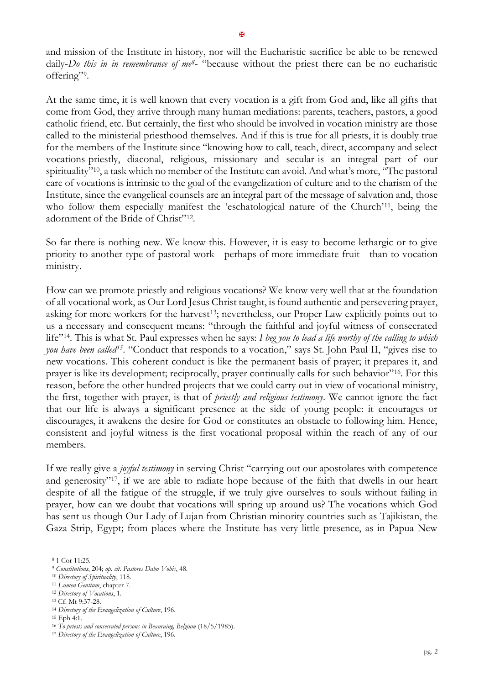and mission of the Institute in history, nor will the Eucharistic sacrifice be able to be renewed daily-*Do this in in remembrance of me8*- "because without the priest there can be no eucharistic offering"?

At the same time, it is well known that every vocation is a gift from God and, like all gifts that come from God, they arrive through many human mediations: parents, teachers, pastors, a good catholic friend, etc. But certainly, the first who should be involved in vocation ministry are those called to the ministerial priesthood themselves. And if this is true for all priests, it is doubly true for the members of the Institute since "knowing how to call, teach, direct, accompany and select vocations-priestly, diaconal, religious, missionary and secular-is an integral part of our spirituality"10, a task which no member of the Institute can avoid. And what's more, "The pastoral care of vocations is intrinsic to the goal of the evangelization of culture and to the charism of the Institute, since the evangelical counsels are an integral part of the message of salvation and, those who follow them especially manifest the 'eschatological nature of the Church'<sup>11</sup>, being the adornment of the Bride of Christ"<sup>12</sup> .

So far there is nothing new. We know this. However, it is easy to become lethargic or to give priority to another type of pastoral work - perhaps of more immediate fruit - than to vocation ministry.

How can we promote priestly and religious vocations? We know very well that at the foundation of all vocational work, as Our Lord Jesus Christ taught, is found authentic and persevering prayer, asking for more workers for the harvest<sup>13</sup>; nevertheless, our Proper Law explicitly points out to us a necessary and consequent means: "through the faithful and joyful witness of consecrated life"14. This is what St. Paul expresses when he says: *I beg you to lead a life worthy of the calling to which you have been called15*. "Conduct that responds to a vocation," says St. John Paul II, "gives rise to new vocations. This coherent conduct is like the permanent basis of prayer; it prepares it, and prayer is like its development; reciprocally, prayer continually calls for such behavior"16. For this reason, before the other hundred projects that we could carry out in view of vocational ministry, the first, together with prayer, is that of *priestly and religious testimony*. We cannot ignore the fact that our life is always a significant presence at the side of young people: it encourages or discourages, it awakens the desire for God or constitutes an obstacle to following him. Hence, consistent and joyful witness is the first vocational proposal within the reach of any of our members.

If we really give a *joyful testimony* in serving Christ "carrying out our apostolates with competence and generosity"17, if we are able to radiate hope because of the faith that dwells in our heart despite of all the fatigue of the struggle, if we truly give ourselves to souls without failing in prayer, how can we doubt that vocations will spring up around us? The vocations which God has sent us though Our Lady of Lujan from Christian minority countries such as Tajikistan, the Gaza Strip, Egypt; from places where the Institute has very little presence, as in Papua New

<sup>8</sup> 1 Cor 11:25.

<sup>9</sup> *Constitutions*, 204; *op. cit. Pastores Dabo Vobis*, 48.

<sup>10</sup> *Directory of Spirituality*, 118.

<sup>11</sup> *Lumen Gentium*, chapter 7.

<sup>12</sup> *Directory of Vocations*, 1.

<sup>13</sup> Cf. Mt 9:37-28.

<sup>14</sup> *Directory of the Evangelization of Culture*, 196.

<sup>15</sup> Eph 4:1.

<sup>16</sup> *To priests and consecrated persons in Beauraing, Belgium* (18/5/1985).

<sup>17</sup> *Directory of the Evangelization of Culture*, 196.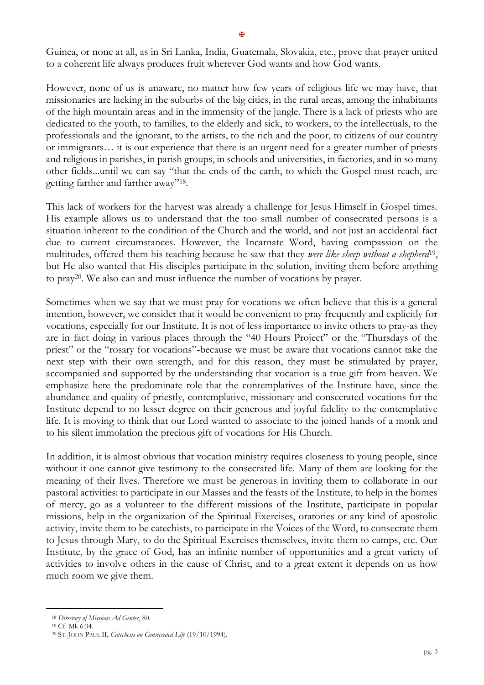Guinea, or none at all, as in Sri Lanka, India, Guatemala, Slovakia, etc., prove that prayer united to a coherent life always produces fruit wherever God wants and how God wants.

However, none of us is unaware, no matter how few years of religious life we may have, that missionaries are lacking in the suburbs of the big cities, in the rural areas, among the inhabitants of the high mountain areas and in the immensity of the jungle. There is a lack of priests who are dedicated to the youth, to families, to the elderly and sick, to workers, to the intellectuals, to the professionals and the ignorant, to the artists, to the rich and the poor, to citizens of our country or immigrants… it is our experience that there is an urgent need for a greater number of priests and religious in parishes, in parish groups, in schools and universities, in factories, and in so many other fields...until we can say "that the ends of the earth, to which the Gospel must reach, are getting farther and farther away"<sup>18</sup> .

This lack of workers for the harvest was already a challenge for Jesus Himself in Gospel times. His example allows us to understand that the too small number of consecrated persons is a situation inherent to the condition of the Church and the world, and not just an accidental fact due to current circumstances. However, the Incarnate Word, having compassion on the multitudes, offered them his teaching because he saw that they *were like sheep without a shepherd*<sup>19</sup> , but He also wanted that His disciples participate in the solution, inviting them before anything to pray20. We also can and must influence the number of vocations by prayer.

Sometimes when we say that we must pray for vocations we often believe that this is a general intention, however, we consider that it would be convenient to pray frequently and explicitly for vocations, especially for our Institute. It is not of less importance to invite others to pray-as they are in fact doing in various places through the "40 Hours Project" or the "Thursdays of the priest" or the "rosary for vocations"-because we must be aware that vocations cannot take the next step with their own strength, and for this reason, they must be stimulated by prayer, accompanied and supported by the understanding that vocation is a true gift from heaven. We emphasize here the predominate role that the contemplatives of the Institute have, since the abundance and quality of priestly, contemplative, missionary and consecrated vocations for the Institute depend to no lesser degree on their generous and joyful fidelity to the contemplative life. It is moving to think that our Lord wanted to associate to the joined hands of a monk and to his silent immolation the precious gift of vocations for His Church.

In addition, it is almost obvious that vocation ministry requires closeness to young people, since without it one cannot give testimony to the consecrated life. Many of them are looking for the meaning of their lives. Therefore we must be generous in inviting them to collaborate in our pastoral activities: to participate in our Masses and the feasts of the Institute, to help in the homes of mercy, go as a volunteer to the different missions of the Institute, participate in popular missions, help in the organization of the Spiritual Exercises, oratories or any kind of apostolic activity, invite them to be catechists, to participate in the Voices of the Word, to consecrate them to Jesus through Mary, to do the Spiritual Exercises themselves, invite them to camps, etc. Our Institute, by the grace of God, has an infinite number of opportunities and a great variety of activities to involve others in the cause of Christ, and to a great extent it depends on us how much room we give them.

<sup>18</sup> *Directory of Missions Ad Gentes*, 80.

<sup>19</sup> Cf. Mk 6:34.

<sup>20</sup> ST. JOHN PAUL II, *Catechesis on Consecrated Life* (19/10/1994).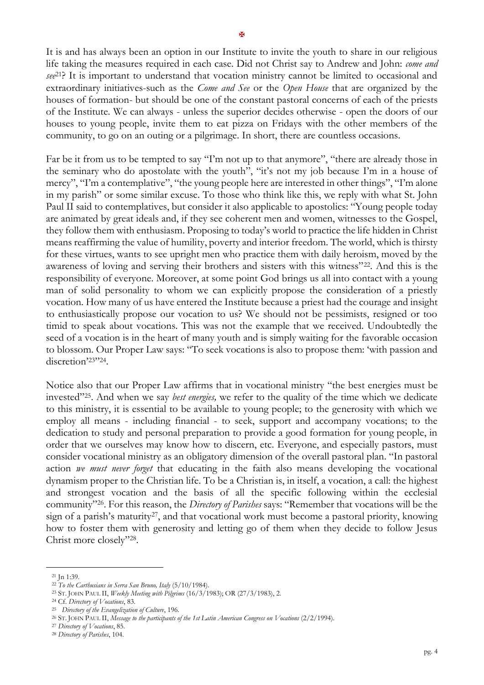It is and has always been an option in our Institute to invite the youth to share in our religious life taking the measures required in each case. Did not Christ say to Andrew and John: *come and see*21? It is important to understand that vocation ministry cannot be limited to occasional and extraordinary initiatives-such as the *Come and See* or the *Open House* that are organized by the houses of formation- but should be one of the constant pastoral concerns of each of the priests of the Institute. We can always - unless the superior decides otherwise - open the doors of our houses to young people, invite them to eat pizza on Fridays with the other members of the community, to go on an outing or a pilgrimage. In short, there are countless occasions.

Far be it from us to be tempted to say "I'm not up to that anymore", "there are already those in the seminary who do apostolate with the youth", "it's not my job because I'm in a house of mercy", "I'm a contemplative", "the young people here are interested in other things", "I'm alone in my parish" or some similar excuse. To those who think like this, we reply with what St. John Paul II said to contemplatives, but consider it also applicable to apostolics: "Young people today are animated by great ideals and, if they see coherent men and women, witnesses to the Gospel, they follow them with enthusiasm. Proposing to today's world to practice the life hidden in Christ means reaffirming the value of humility, poverty and interior freedom. The world, which is thirsty for these virtues, wants to see upright men who practice them with daily heroism, moved by the awareness of loving and serving their brothers and sisters with this witness"22. And this is the responsibility of everyone. Moreover, at some point God brings us all into contact with a young man of solid personality to whom we can explicitly propose the consideration of a priestly vocation. How many of us have entered the Institute because a priest had the courage and insight to enthusiastically propose our vocation to us? We should not be pessimists, resigned or too timid to speak about vocations. This was not the example that we received. Undoubtedly the seed of a vocation is in the heart of many youth and is simply waiting for the favorable occasion to blossom. Our Proper Law says: "To seek vocations is also to propose them: 'with passion and discretion'23"24.

Notice also that our Proper Law affirms that in vocational ministry "the best energies must be invested"25. And when we say *best energies,* we refer to the quality of the time which we dedicate to this ministry, it is essential to be available to young people; to the generosity with which we employ all means - including financial - to seek, support and accompany vocations; to the dedication to study and personal preparation to provide a good formation for young people, in order that we ourselves may know how to discern, etc. Everyone, and especially pastors, must consider vocational ministry as an obligatory dimension of the overall pastoral plan. "In pastoral action *we must never forget* that educating in the faith also means developing the vocational dynamism proper to the Christian life. To be a Christian is, in itself, a vocation, a call: the highest and strongest vocation and the basis of all the specific following within the ecclesial community"26. For this reason, the *Directory of Parishes* says: "Remember that vocations will be the sign of a parish's maturity27, and that vocational work must become a pastoral priority, knowing how to foster them with generosity and letting go of them when they decide to follow Jesus Christ more closely"<sup>28</sup> .

<sup>27</sup> *Directory of Vocations*, 85.

<sup>21</sup> Jn 1:39.

<sup>22</sup> *To the Carthusians in Serra San Bruno, Italy* (5/10/1984).

<sup>23</sup> ST. JOHN PAUL II, *Weekly Meeting with Pilgrims* (16/3/1983); OR (27/3/1983), 2.

<sup>24</sup> Cf. *Directory of Vocations*, 83.

<sup>25</sup> *Directory of the Evangelization of Culture*, 196.

<sup>26</sup> ST. JOHN PAUL II, *Message to the participants of the 1st Latin American Congress on Vocations* (2/2/1994).

<sup>28</sup> *Directory of Parishes*, 104.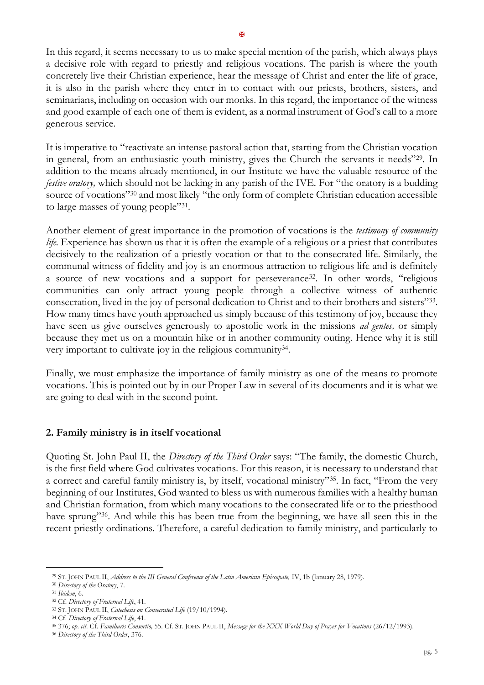In this regard, it seems necessary to us to make special mention of the parish, which always plays a decisive role with regard to priestly and religious vocations. The parish is where the youth concretely live their Christian experience, hear the message of Christ and enter the life of grace, it is also in the parish where they enter in to contact with our priests, brothers, sisters, and seminarians, including on occasion with our monks. In this regard, the importance of the witness and good example of each one of them is evident, as a normal instrument of God's call to a more generous service.

It is imperative to "reactivate an intense pastoral action that, starting from the Christian vocation in general, from an enthusiastic youth ministry, gives the Church the servants it needs"29. In addition to the means already mentioned, in our Institute we have the valuable resource of the *festive oratory*, which should not be lacking in any parish of the IVE. For "the oratory is a budding source of vocations"<sup>30</sup> and most likely "the only form of complete Christian education accessible to large masses of young people"<sup>31</sup> .

Another element of great importance in the promotion of vocations is the *testimony of community life.* Experience has shown us that it is often the example of a religious or a priest that contributes decisively to the realization of a priestly vocation or that to the consecrated life. Similarly, the communal witness of fidelity and joy is an enormous attraction to religious life and is definitely a source of new vocations and a support for perseverance32. In other words, "religious communities can only attract young people through a collective witness of authentic consecration, lived in the joy of personal dedication to Christ and to their brothers and sisters"<sup>33</sup> . How many times have youth approached us simply because of this testimony of joy, because they have seen us give ourselves generously to apostolic work in the missions *ad gentes,* or simply because they met us on a mountain hike or in another community outing. Hence why it is still very important to cultivate joy in the religious community<sup>34</sup>.

Finally, we must emphasize the importance of family ministry as one of the means to promote vocations. This is pointed out by in our Proper Law in several of its documents and it is what we are going to deal with in the second point.

## **2. Family ministry is in itself vocational**

Quoting St. John Paul II, the *Directory of the Third Order* says: "The family, the domestic Church, is the first field where God cultivates vocations. For this reason, it is necessary to understand that a correct and careful family ministry is, by itself, vocational ministry"35. In fact, "From the very beginning of our Institutes, God wanted to bless us with numerous families with a healthy human and Christian formation, from which many vocations to the consecrated life or to the priesthood have sprung"<sup>36</sup>. And while this has been true from the beginning, we have all seen this in the recent priestly ordinations. Therefore, a careful dedication to family ministry, and particularly to

<sup>29</sup> ST. JOHN PAUL II, *Address to the III General Conference of the Latin American Episcopate,* IV, 1b (January 28, 1979).

<sup>30</sup> *Directory of the Oratory*, 7.

<sup>31</sup> *Ibidem*, 6.

<sup>32</sup> Cf. *Directory of Fraternal Life*, 41.

<sup>33</sup> ST. JOHN PAUL II, *Catechesis on Consecrated Life* (19/10/1994).

<sup>34</sup> Cf. *Directory of Fraternal Life*, 41.

<sup>35</sup> 376; *op. cit*. Cf. *Familiaris Consortio,* 55. Cf. ST. JOHN PAUL II, *Message for the XXX World Day of Prayer for Vocations* (26/12/1993).

<sup>36</sup> *Directory of the Third Order*, 376.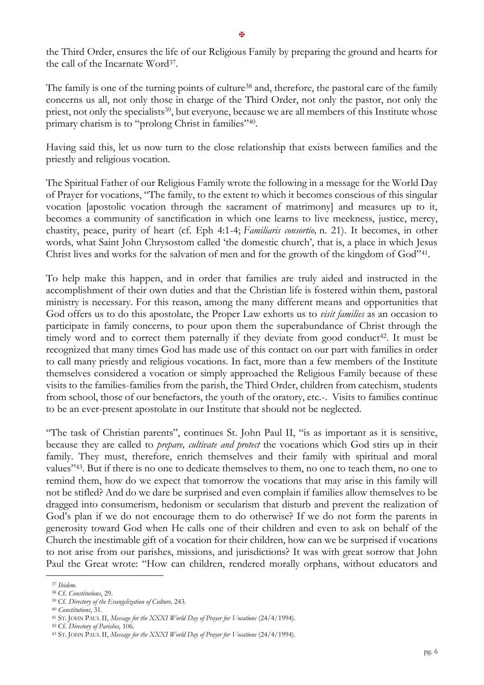the Third Order, ensures the life of our Religious Family by preparing the ground and hearts for the call of the Incarnate Word<sup>37</sup>.

The family is one of the turning points of culture<sup>38</sup> and, therefore, the pastoral care of the family concerns us all, not only those in charge of the Third Order, not only the pastor, not only the priest, not only the specialists<sup>39</sup>, but everyone, because we are all members of this Institute whose primary charism is to "prolong Christ in families"<sup>40</sup> .

Having said this, let us now turn to the close relationship that exists between families and the priestly and religious vocation.

The Spiritual Father of our Religious Family wrote the following in a message for the World Day of Prayer for vocations, "The family, to the extent to which it becomes conscious of this singular vocation [apostolic vocation through the sacrament of matrimony] and measures up to it, becomes a community of sanctification in which one learns to live meekness, justice, mercy, chastity, peace, purity of heart (cf. Eph 4:1-4; *Familiaris consortio,* n. 21). It becomes, in other words, what Saint John Chrysostom called 'the domestic church', that is, a place in which Jesus Christ lives and works for the salvation of men and for the growth of the kingdom of God"<sup>41</sup>.

To help make this happen, and in order that families are truly aided and instructed in the accomplishment of their own duties and that the Christian life is fostered within them, pastoral ministry is necessary. For this reason, among the many different means and opportunities that God offers us to do this apostolate, the Proper Law exhorts us to *visit families* as an occasion to participate in family concerns, to pour upon them the superabundance of Christ through the timely word and to correct them paternally if they deviate from good conduct<sup>42</sup>. It must be recognized that many times God has made use of this contact on our part with families in order to call many priestly and religious vocations. In fact, more than a few members of the Institute themselves considered a vocation or simply approached the Religious Family because of these visits to the families-families from the parish, the Third Order, children from catechism, students from school, those of our benefactors, the youth of the oratory, etc.-. Visits to families continue to be an ever-present apostolate in our Institute that should not be neglected.

"The task of Christian parents", continues St. John Paul II, "is as important as it is sensitive, because they are called to *prepare, cultivate and protect* the vocations which God stirs up in their family. They must, therefore, enrich themselves and their family with spiritual and moral values"43. But if there is no one to dedicate themselves to them, no one to teach them, no one to remind them, how do we expect that tomorrow the vocations that may arise in this family will not be stifled? And do we dare be surprised and even complain if families allow themselves to be dragged into consumerism, hedonism or secularism that disturb and prevent the realization of God's plan if we do not encourage them to do otherwise? If we do not form the parents in generosity toward God when He calls one of their children and even to ask on behalf of the Church the inestimable gift of a vocation for their children, how can we be surprised if vocations to not arise from our parishes, missions, and jurisdictions? It was with great sorrow that John Paul the Great wrote: "How can children, rendered morally orphans, without educators and

<sup>37</sup> *Ibidem*.

<sup>38</sup> Cf. *Constitutions*, 29.

<sup>39</sup> Cf. *Directory of the Evangelization of Culture,* 243.

<sup>40</sup> *Constitutions*, 31.

<sup>41</sup> ST. JOHN PAUL II, *Message for the XXXI World Day of Prayer for Vocations* (24/4/1994).

<sup>42</sup> Cf. *Directory of Parishes,* 106.

<sup>43</sup> ST. JOHN PAUL II, *Message for the XXXI World Day of Prayer for Vocations* (24/4/1994).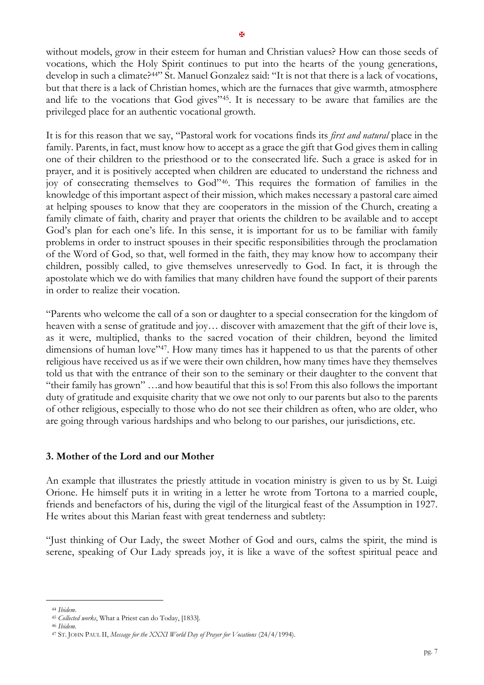without models, grow in their esteem for human and Christian values? How can those seeds of vocations, which the Holy Spirit continues to put into the hearts of the young generations, develop in such a climate?<sup>44"</sup> St. Manuel Gonzalez said: "It is not that there is a lack of vocations, but that there is a lack of Christian homes, which are the furnaces that give warmth, atmosphere and life to the vocations that God gives"45. It is necessary to be aware that families are the privileged place for an authentic vocational growth.

It is for this reason that we say, "Pastoral work for vocations finds its *first and natural* place in the family. Parents, in fact, must know how to accept as a grace the gift that God gives them in calling one of their children to the priesthood or to the consecrated life. Such a grace is asked for in prayer, and it is positively accepted when children are educated to understand the richness and joy of consecrating themselves to God"46. This requires the formation of families in the knowledge of this important aspect of their mission, which makes necessary a pastoral care aimed at helping spouses to know that they are cooperators in the mission of the Church, creating a family climate of faith, charity and prayer that orients the children to be available and to accept God's plan for each one's life. In this sense, it is important for us to be familiar with family problems in order to instruct spouses in their specific responsibilities through the proclamation of the Word of God, so that, well formed in the faith, they may know how to accompany their children, possibly called, to give themselves unreservedly to God. In fact, it is through the apostolate which we do with families that many children have found the support of their parents in order to realize their vocation.

"Parents who welcome the call of a son or daughter to a special consecration for the kingdom of heaven with a sense of gratitude and joy… discover with amazement that the gift of their love is, as it were, multiplied, thanks to the sacred vocation of their children, beyond the limited dimensions of human love"<sup>47</sup>. How many times has it happened to us that the parents of other religious have received us as if we were their own children, how many times have they themselves told us that with the entrance of their son to the seminary or their daughter to the convent that "their family has grown" …and how beautiful that this is so! From this also follows the important duty of gratitude and exquisite charity that we owe not only to our parents but also to the parents of other religious, especially to those who do not see their children as often, who are older, who are going through various hardships and who belong to our parishes, our jurisdictions, etc.

## **3. Mother of the Lord and our Mother**

An example that illustrates the priestly attitude in vocation ministry is given to us by St. Luigi Orione. He himself puts it in writing in a letter he wrote from Tortona to a married couple, friends and benefactors of his, during the vigil of the liturgical feast of the Assumption in 1927. He writes about this Marian feast with great tenderness and subtlety:

"Just thinking of Our Lady, the sweet Mother of God and ours, calms the spirit, the mind is serene, speaking of Our Lady spreads joy, it is like a wave of the softest spiritual peace and

<sup>44</sup> *Ibidem*.

<sup>45</sup> *Collected works*, What a Priest can do Today, [1833].

<sup>46</sup> *Ibidem.*

<sup>47</sup> ST. JOHN PAUL II, *Message for the XXXI World Day of Prayer for Vocations* (24/4/1994).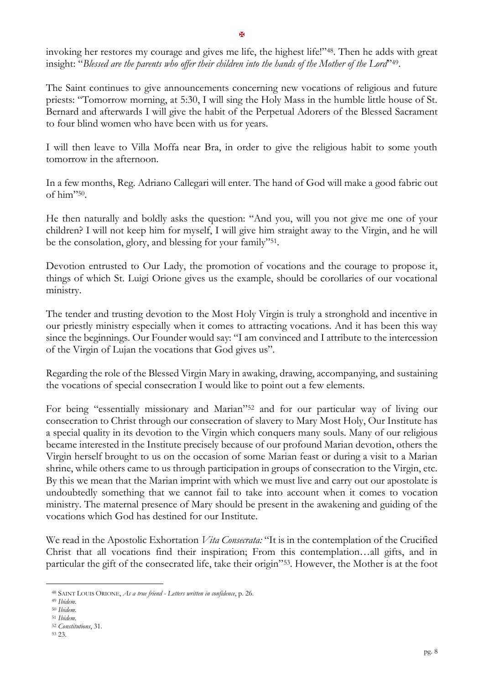invoking her restores my courage and gives me life, the highest life!"48. Then he adds with great insight: "*Blessed are the parents who offer their children into the hands of the Mother of the Lord*" 49 .

The Saint continues to give announcements concerning new vocations of religious and future priests: "Tomorrow morning, at 5:30, I will sing the Holy Mass in the humble little house of St. Bernard and afterwards I will give the habit of the Perpetual Adorers of the Blessed Sacrament to four blind women who have been with us for years.

I will then leave to Villa Moffa near Bra, in order to give the religious habit to some youth tomorrow in the afternoon.

In a few months, Reg. Adriano Callegari will enter. The hand of God will make a good fabric out of him"<sup>50</sup> .

He then naturally and boldly asks the question: "And you, will you not give me one of your children? I will not keep him for myself, I will give him straight away to the Virgin, and he will be the consolation, glory, and blessing for your family"<sup>51</sup>.

Devotion entrusted to Our Lady, the promotion of vocations and the courage to propose it, things of which St. Luigi Orione gives us the example, should be corollaries of our vocational ministry.

The tender and trusting devotion to the Most Holy Virgin is truly a stronghold and incentive in our priestly ministry especially when it comes to attracting vocations. And it has been this way since the beginnings. Our Founder would say: "I am convinced and I attribute to the intercession of the Virgin of Lujan the vocations that God gives us".

Regarding the role of the Blessed Virgin Mary in awaking, drawing, accompanying, and sustaining the vocations of special consecration I would like to point out a few elements.

For being "essentially missionary and Marian"<sup>52</sup> and for our particular way of living our consecration to Christ through our consecration of slavery to Mary Most Holy, Our Institute has a special quality in its devotion to the Virgin which conquers many souls. Many of our religious became interested in the Institute precisely because of our profound Marian devotion, others the Virgin herself brought to us on the occasion of some Marian feast or during a visit to a Marian shrine, while others came to us through participation in groups of consecration to the Virgin, etc. By this we mean that the Marian imprint with which we must live and carry out our apostolate is undoubtedly something that we cannot fail to take into account when it comes to vocation ministry. The maternal presence of Mary should be present in the awakening and guiding of the vocations which God has destined for our Institute.

We read in the Apostolic Exhortation *Vita Consecrata:* "It is in the contemplation of the Crucified Christ that all vocations find their inspiration; From this contemplation…all gifts, and in particular the gift of the consecrated life, take their origin"53. However, the Mother is at the foot

<sup>48</sup> SAINT LOUIS ORIONE, *As a true friend - Letters written in confidence*, p. 26.

<sup>49</sup> *Ibidem*.

<sup>50</sup> *Ibidem*.

<sup>51</sup> *Ibidem.*

<sup>52</sup> *Constitutions*, 31.

<sup>53</sup> 23.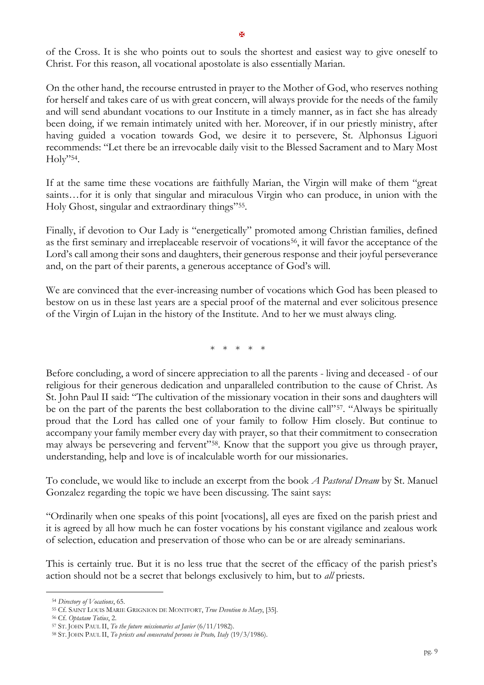of the Cross. It is she who points out to souls the shortest and easiest way to give oneself to Christ. For this reason, all vocational apostolate is also essentially Marian.

On the other hand, the recourse entrusted in prayer to the Mother of God, who reserves nothing for herself and takes care of us with great concern, will always provide for the needs of the family and will send abundant vocations to our Institute in a timely manner, as in fact she has already been doing, if we remain intimately united with her. Moreover, if in our priestly ministry, after having guided a vocation towards God, we desire it to persevere, St. Alphonsus Liguori recommends: "Let there be an irrevocable daily visit to the Blessed Sacrament and to Mary Most Holy" 54 .

If at the same time these vocations are faithfully Marian, the Virgin will make of them "great saints…for it is only that singular and miraculous Virgin who can produce, in union with the Holy Ghost, singular and extraordinary things"<sup>55</sup> .

Finally, if devotion to Our Lady is "energetically" promoted among Christian families, defined as the first seminary and irreplaceable reservoir of vocations<sup>56</sup>, it will favor the acceptance of the Lord's call among their sons and daughters, their generous response and their joyful perseverance and, on the part of their parents, a generous acceptance of God's will.

We are convinced that the ever-increasing number of vocations which God has been pleased to bestow on us in these last years are a special proof of the maternal and ever solicitous presence of the Virgin of Lujan in the history of the Institute. And to her we must always cling.

\* \* \* \* \*

Before concluding, a word of sincere appreciation to all the parents - living and deceased - of our religious for their generous dedication and unparalleled contribution to the cause of Christ. As St. John Paul II said: "The cultivation of the missionary vocation in their sons and daughters will be on the part of the parents the best collaboration to the divine call"<sup>57</sup>. "Always be spiritually proud that the Lord has called one of your family to follow Him closely. But continue to accompany your family member every day with prayer, so that their commitment to consecration may always be persevering and fervent"58. Know that the support you give us through prayer, understanding, help and love is of incalculable worth for our missionaries.

To conclude, we would like to include an excerpt from the book *A Pastoral Dream* by St. Manuel Gonzalez regarding the topic we have been discussing. The saint says:

"Ordinarily when one speaks of this point [vocations], all eyes are fixed on the parish priest and it is agreed by all how much he can foster vocations by his constant vigilance and zealous work of selection, education and preservation of those who can be or are already seminarians.

This is certainly true. But it is no less true that the secret of the efficacy of the parish priest's action should not be a secret that belongs exclusively to him, but to *all* priests.

<sup>54</sup> *Directory of Vocations*, 65.

<sup>55</sup> Cf. SAINT LOUIS MARIE GRIGNION DE MONTFORT, *True Devotion to Mary*, [35].

<sup>56</sup> Cf. *Optatam Totius*, 2.

<sup>57</sup> ST. JOHN PAUL II, *To the future missionaries at Javier* (6/11/1982).

<sup>58</sup> ST. JOHN PAUL II, *To priests and consecrated persons in Prato, Italy* (19/3/1986).